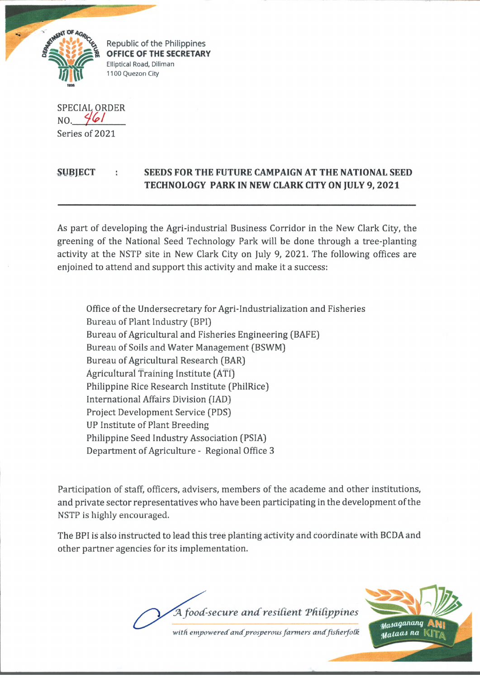

*£* Republic of the Philippines **OFFICE OF THE SECRETARY** Elliptical Road, Diliman 1100 Quezon City

SPECIAL ORDER  $NO.$  46/ Series of 2021

## **SUBJECT : SEEDS FOR THE FUTURE CAMPAIGN AT THE NATIONAL SEED TECHNOLOGY PARK IN NEW CLARK CITY ON JULY 9, 2021**

As part of developing the Agri-industrial Business Corridor in the New Clark City, the greening of the National Seed Technology Park will be done through a tree-planting activity at the NSTP site in New Clark City on July 9, 2021. The following offices are enjoined to attend and support this activity and make it a success:

Office of the Undersecretary for Agri-Industrialization and Fisheries Bureau of Plant Industry (BPI) Bureau of Agricultural and Fisheries Engineering (BAFE) Bureau of Soils and Water Management (BSWM) Bureau of Agricultural Research (BAR) Agricultural Training Institute (ATfj Philippine Rice Research Institute (PhilRice) international Affairs Division (IAD) Project Development Service (PDS) UP Institute of Plant Breeding Philippine Seed Industry Association (PSIA) Department of Agriculture - Regional Office 3

Participation of staff, officers, advisers, members of the academe and other institutions, and private sector representatives who have been participating in the development of the NSTP is highly encouraged.

The BPI is also instructed to lead this tree planting activity and coordinate with BCDA and other partner agencies for its implementation.

A food-secure and resilient Philippines with empowered and prosperous farmers and fisherfolk